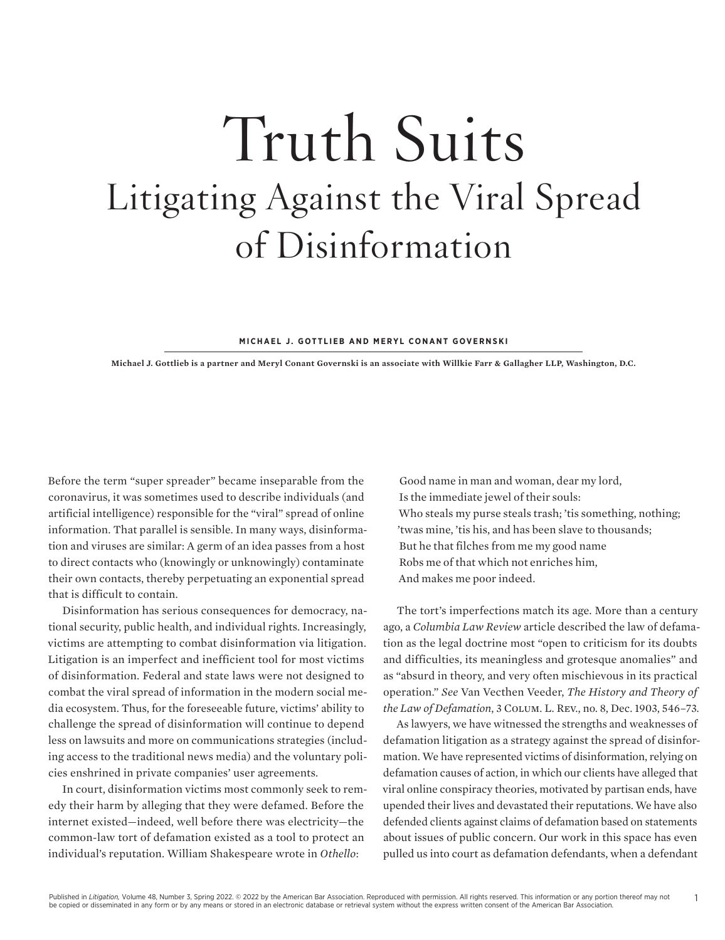# Truth Suits Litigating Against the Viral Spread of Disinformation

#### **MICHAEL J. GOTTLIEB AND MERYL CONANT GOVERNSKI**

**Michael J. Gottlieb is a partner and Meryl Conant Governski is an associate with Willkie Farr & Gallagher LLP, Washington, D.C.**

Before the term "super spreader" became inseparable from the coronavirus, it was sometimes used to describe individuals (and artificial intelligence) responsible for the "viral" spread of online information. That parallel is sensible. In many ways, disinformation and viruses are similar: A germ of an idea passes from a host to direct contacts who (knowingly or unknowingly) contaminate their own contacts, thereby perpetuating an exponential spread that is difficult to contain.

Disinformation has serious consequences for democracy, national security, public health, and individual rights. Increasingly, victims are attempting to combat disinformation via litigation. Litigation is an imperfect and inefficient tool for most victims of disinformation. Federal and state laws were not designed to combat the viral spread of information in the modern social media ecosystem. Thus, for the foreseeable future, victims' ability to challenge the spread of disinformation will continue to depend less on lawsuits and more on communications strategies (including access to the traditional news media) and the voluntary policies enshrined in private companies' user agreements.

In court, disinformation victims most commonly seek to remedy their harm by alleging that they were defamed. Before the internet existed—indeed, well before there was electricity—the common-law tort of defamation existed as a tool to protect an individual's reputation. William Shakespeare wrote in *Othello*:

Good name in man and woman, dear my lord, Is the immediate jewel of their souls: Who steals my purse steals trash; 'tis something, nothing; 'twas mine, 'tis his, and has been slave to thousands; But he that filches from me my good name Robs me of that which not enriches him, And makes me poor indeed.

The tort's imperfections match its age. More than a century ago, a *Columbia Law Review* article described the law of defamation as the legal doctrine most "open to criticism for its doubts and difficulties, its meaningless and grotesque anomalies" and as "absurd in theory, and very often mischievous in its practical operation." *See* Van Vecthen Veeder, *The History and Theory of the Law of Defamation*, 3 Colum. L. Rev., no. 8, Dec. 1903, 546–73.

As lawyers, we have witnessed the strengths and weaknesses of defamation litigation as a strategy against the spread of disinformation. We have represented victims of disinformation, relying on defamation causes of action, in which our clients have alleged that viral online conspiracy theories, motivated by partisan ends, have upended their lives and devastated their reputations. We have also defended clients against claims of defamation based on statements about issues of public concern. Our work in this space has even pulled us into court as defamation defendants, when a defendant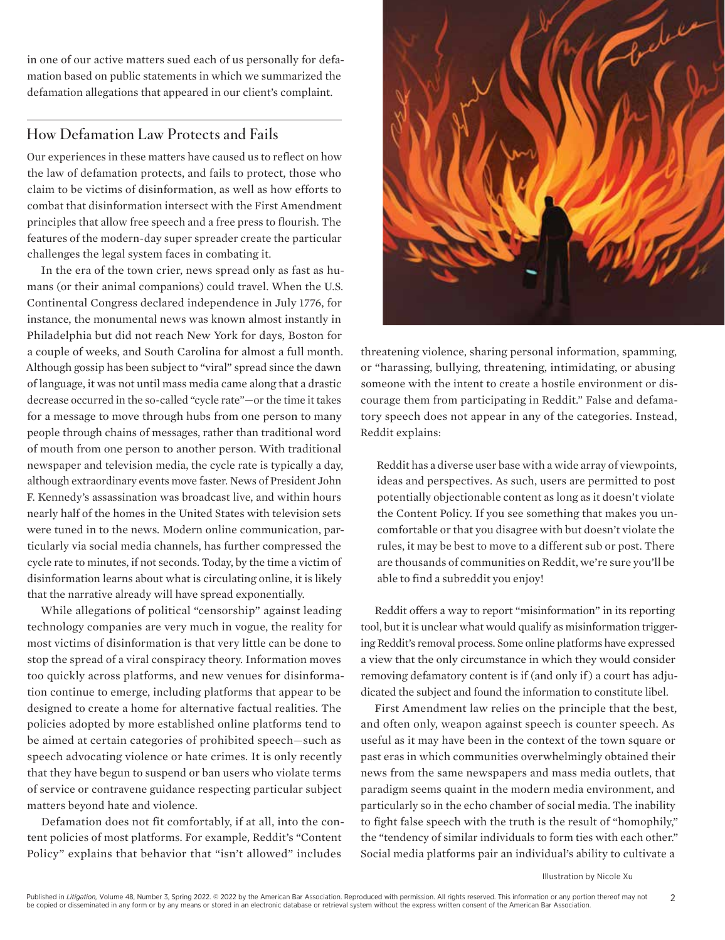in one of our active matters sued each of us personally for defamation based on public statements in which we summarized the defamation allegations that appeared in our client's complaint.

### **How Defamation Law Protects and Fails**

Our experiences in these matters have caused us to reflect on how the law of defamation protects, and fails to protect, those who claim to be victims of disinformation, as well as how efforts to combat that disinformation intersect with the First Amendment principles that allow free speech and a free press to flourish. The features of the modern-day super spreader create the particular challenges the legal system faces in combating it.

In the era of the town crier, news spread only as fast as humans (or their animal companions) could travel. When the U.S. Continental Congress declared independence in July 1776, for instance, the monumental news was known almost instantly in Philadelphia but did not reach New York for days, Boston for a couple of weeks, and South Carolina for almost a full month. Although gossip has been subject to "viral" spread since the dawn of language, it was not until mass media came along that a drastic decrease occurred in the so-called "cycle rate"—or the time it takes for a message to move through hubs from one person to many people through chains of messages, rather than traditional word of mouth from one person to another person. With traditional newspaper and television media, the cycle rate is typically a day, although extraordinary events move faster. News of President John F. Kennedy's assassination was broadcast live, and within hours nearly half of the homes in the United States with television sets were tuned in to the news. Modern online communication, particularly via social media channels, has further compressed the cycle rate to minutes, if not seconds. Today, by the time a victim of disinformation learns about what is circulating online, it is likely that the narrative already will have spread exponentially.

While allegations of political "censorship" against leading technology companies are very much in vogue, the reality for most victims of disinformation is that very little can be done to stop the spread of a viral conspiracy theory. Information moves too quickly across platforms, and new venues for disinformation continue to emerge, including platforms that appear to be designed to create a home for alternative factual realities. The policies adopted by more established online platforms tend to be aimed at certain categories of prohibited speech—such as speech advocating violence or hate crimes. It is only recently that they have begun to suspend or ban users who violate terms of service or contravene guidance respecting particular subject matters beyond hate and violence.

Defamation does not fit comfortably, if at all, into the content policies of most platforms. For example, Reddit's "Content Policy" explains that behavior that "isn't allowed" includes



threatening violence, sharing personal information, spamming, or "harassing, bullying, threatening, intimidating, or abusing someone with the intent to create a hostile environment or discourage them from participating in Reddit." False and defamatory speech does not appear in any of the categories. Instead, Reddit explains:

Reddit has a diverse user base with a wide array of viewpoints, ideas and perspectives. As such, users are permitted to post potentially objectionable content as long as it doesn't violate the Content Policy. If you see something that makes you uncomfortable or that you disagree with but doesn't violate the rules, it may be best to move to a different sub or post. There are thousands of communities on Reddit, we're sure you'll be able to find a subreddit you enjoy!

Reddit offers a way to report "misinformation" in its reporting tool, but it is unclear what would qualify as misinformation triggering Reddit's removal process. Some online platforms have expressed a view that the only circumstance in which they would consider removing defamatory content is if (and only if ) a court has adjudicated the subject and found the information to constitute libel.

First Amendment law relies on the principle that the best, and often only, weapon against speech is counter speech. As useful as it may have been in the context of the town square or past eras in which communities overwhelmingly obtained their news from the same newspapers and mass media outlets, that paradigm seems quaint in the modern media environment, and particularly so in the echo chamber of social media. The inability to fight false speech with the truth is the result of "homophily," the "tendency of similar individuals to form ties with each other." Social media platforms pair an individual's ability to cultivate a

Illustration by Nicole Xu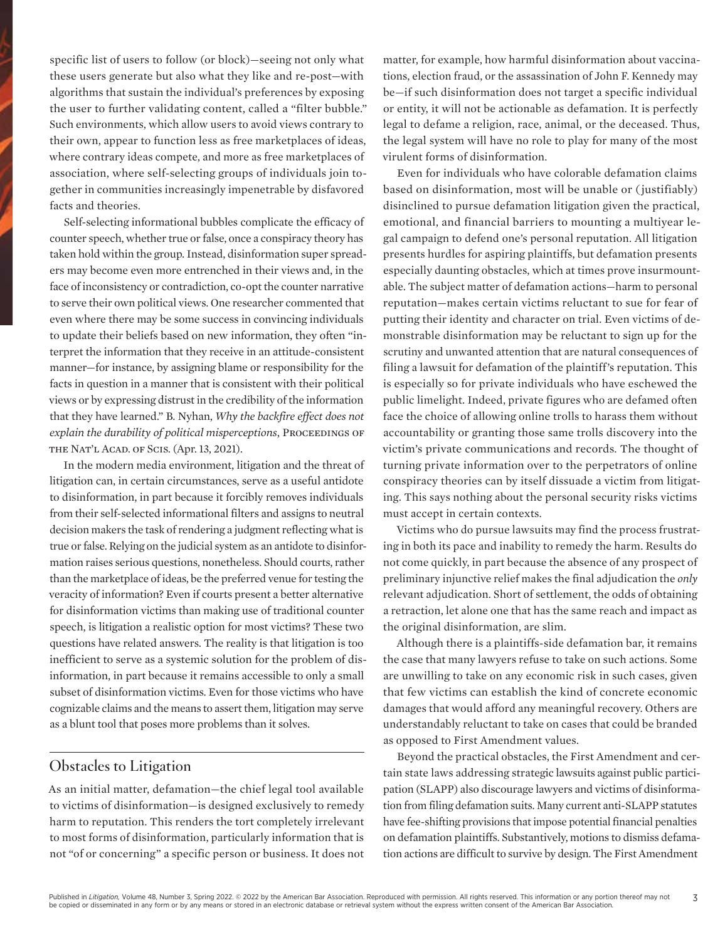specific list of users to follow (or block)—seeing not only what these users generate but also what they like and re-post—with algorithms that sustain the individual's preferences by exposing the user to further validating content, called a "filter bubble." Such environments, which allow users to avoid views contrary to their own, appear to function less as free marketplaces of ideas, where contrary ideas compete, and more as free marketplaces of association, where self-selecting groups of individuals join together in communities increasingly impenetrable by disfavored facts and theories.

Self-selecting informational bubbles complicate the efficacy of counter speech, whether true or false, once a conspiracy theory has taken hold within the group. Instead, disinformation super spreaders may become even more entrenched in their views and, in the face of inconsistency or contradiction, co-opt the counter narrative to serve their own political views. One researcher commented that even where there may be some success in convincing individuals to update their beliefs based on new information, they often "interpret the information that they receive in an attitude-consistent manner—for instance, by assigning blame or responsibility for the facts in question in a manner that is consistent with their political views or by expressing distrust in the credibility of the information that they have learned." B. Nyhan, *Why the backfire effect does not explain the durability of political misperceptions*, PROCEEDINGS OF THE NAT'L ACAD. OF SCIS. (Apr. 13, 2021).

In the modern media environment, litigation and the threat of litigation can, in certain circumstances, serve as a useful antidote to disinformation, in part because it forcibly removes individuals from their self-selected informational filters and assigns to neutral decision makers the task of rendering a judgment reflecting what is true or false. Relying on the judicial system as an antidote to disinformation raises serious questions, nonetheless. Should courts, rather than the marketplace of ideas, be the preferred venue for testing the veracity of information? Even if courts present a better alternative for disinformation victims than making use of traditional counter speech, is litigation a realistic option for most victims? These two questions have related answers. The reality is that litigation is too inefficient to serve as a systemic solution for the problem of disinformation, in part because it remains accessible to only a small subset of disinformation victims. Even for those victims who have cognizable claims and the means to assert them, litigation may serve as a blunt tool that poses more problems than it solves.

#### **Obstacles to Litigation**

As an initial matter, defamation—the chief legal tool available to victims of disinformation—is designed exclusively to remedy harm to reputation. This renders the tort completely irrelevant to most forms of disinformation, particularly information that is not "of or concerning" a specific person or business. It does not

matter, for example, how harmful disinformation about vaccinations, election fraud, or the assassination of John F. Kennedy may be—if such disinformation does not target a specific individual or entity, it will not be actionable as defamation. It is perfectly legal to defame a religion, race, animal, or the deceased. Thus, the legal system will have no role to play for many of the most virulent forms of disinformation.

Even for individuals who have colorable defamation claims based on disinformation, most will be unable or ( justifiably) disinclined to pursue defamation litigation given the practical, emotional, and financial barriers to mounting a multiyear legal campaign to defend one's personal reputation. All litigation presents hurdles for aspiring plaintiffs, but defamation presents especially daunting obstacles, which at times prove insurmountable. The subject matter of defamation actions—harm to personal reputation—makes certain victims reluctant to sue for fear of putting their identity and character on trial. Even victims of demonstrable disinformation may be reluctant to sign up for the scrutiny and unwanted attention that are natural consequences of filing a lawsuit for defamation of the plaintiff's reputation. This is especially so for private individuals who have eschewed the public limelight. Indeed, private figures who are defamed often face the choice of allowing online trolls to harass them without accountability or granting those same trolls discovery into the victim's private communications and records. The thought of turning private information over to the perpetrators of online conspiracy theories can by itself dissuade a victim from litigating. This says nothing about the personal security risks victims must accept in certain contexts.

Victims who do pursue lawsuits may find the process frustrating in both its pace and inability to remedy the harm. Results do not come quickly, in part because the absence of any prospect of preliminary injunctive relief makes the final adjudication the *only*  relevant adjudication. Short of settlement, the odds of obtaining a retraction, let alone one that has the same reach and impact as the original disinformation, are slim.

Although there is a plaintiffs-side defamation bar, it remains the case that many lawyers refuse to take on such actions. Some are unwilling to take on any economic risk in such cases, given that few victims can establish the kind of concrete economic damages that would afford any meaningful recovery. Others are understandably reluctant to take on cases that could be branded as opposed to First Amendment values.

Beyond the practical obstacles, the First Amendment and certain state laws addressing strategic lawsuits against public participation (SLAPP) also discourage lawyers and victims of disinformation from filing defamation suits. Many current anti-SLAPP statutes have fee-shifting provisions that impose potential financial penalties on defamation plaintiffs. Substantively, motions to dismiss defamation actions are difficult to survive by design. The First Amendment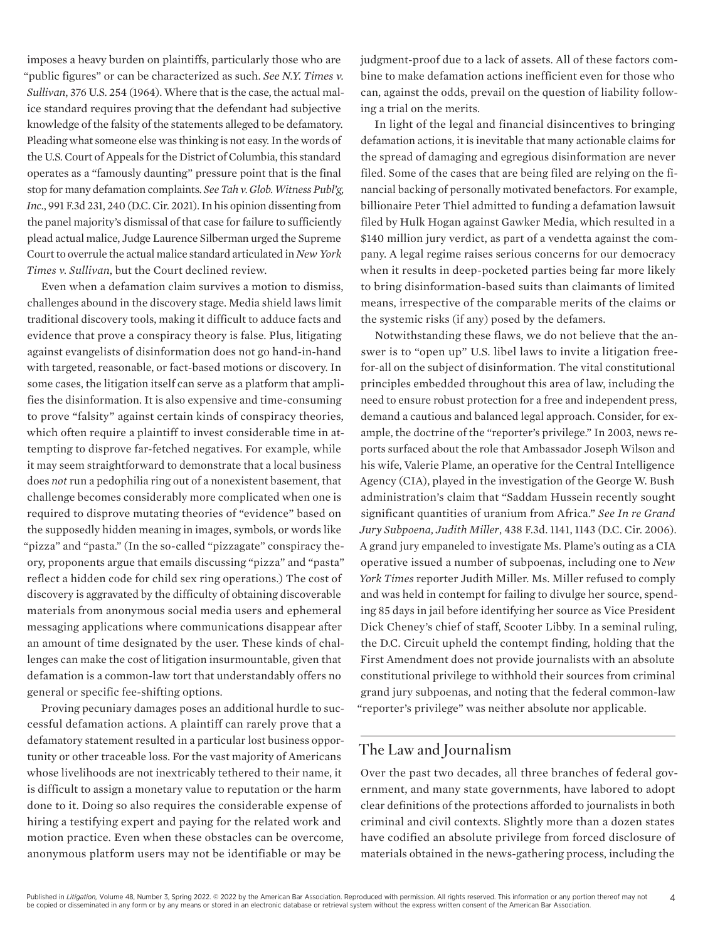imposes a heavy burden on plaintiffs, particularly those who are "public figures" or can be characterized as such. *See N.Y. Times v. Sullivan*, 376 U.S. 254 (1964). Where that is the case, the actual malice standard requires proving that the defendant had subjective knowledge of the falsity of the statements alleged to be defamatory. Pleading what someone else was thinking is not easy. In the words of the U.S. Court of Appeals for the District of Columbia, this standard operates as a "famously daunting" pressure point that is the final stop for many defamation complaints. *See Tah v. Glob. Witness Publ'g, Inc.*, 991 F.3d 231, 240 (D.C. Cir. 2021). In his opinion dissenting from the panel majority's dismissal of that case for failure to sufficiently plead actual malice, Judge Laurence Silberman urged the Supreme Court to overrule the actual malice standard articulated in *New York Times v. Sullivan*, but the Court declined review.

Even when a defamation claim survives a motion to dismiss, challenges abound in the discovery stage. Media shield laws limit traditional discovery tools, making it difficult to adduce facts and evidence that prove a conspiracy theory is false. Plus, litigating against evangelists of disinformation does not go hand-in-hand with targeted, reasonable, or fact-based motions or discovery. In some cases, the litigation itself can serve as a platform that amplifies the disinformation. It is also expensive and time-consuming to prove "falsity" against certain kinds of conspiracy theories, which often require a plaintiff to invest considerable time in attempting to disprove far-fetched negatives. For example, while it may seem straightforward to demonstrate that a local business does *not* run a pedophilia ring out of a nonexistent basement, that challenge becomes considerably more complicated when one is required to disprove mutating theories of "evidence" based on the supposedly hidden meaning in images, symbols, or words like "pizza" and "pasta." (In the so-called "pizzagate" conspiracy theory, proponents argue that emails discussing "pizza" and "pasta" reflect a hidden code for child sex ring operations.) The cost of discovery is aggravated by the difficulty of obtaining discoverable materials from anonymous social media users and ephemeral messaging applications where communications disappear after an amount of time designated by the user. These kinds of challenges can make the cost of litigation insurmountable, given that defamation is a common-law tort that understandably offers no general or specific fee-shifting options.

Proving pecuniary damages poses an additional hurdle to successful defamation actions. A plaintiff can rarely prove that a defamatory statement resulted in a particular lost business opportunity or other traceable loss. For the vast majority of Americans whose livelihoods are not inextricably tethered to their name, it is difficult to assign a monetary value to reputation or the harm done to it. Doing so also requires the considerable expense of hiring a testifying expert and paying for the related work and motion practice. Even when these obstacles can be overcome, anonymous platform users may not be identifiable or may be

judgment-proof due to a lack of assets. All of these factors combine to make defamation actions inefficient even for those who can, against the odds, prevail on the question of liability following a trial on the merits.

In light of the legal and financial disincentives to bringing defamation actions, it is inevitable that many actionable claims for the spread of damaging and egregious disinformation are never filed. Some of the cases that are being filed are relying on the financial backing of personally motivated benefactors. For example, billionaire Peter Thiel admitted to funding a defamation lawsuit filed by Hulk Hogan against Gawker Media, which resulted in a \$140 million jury verdict, as part of a vendetta against the company. A legal regime raises serious concerns for our democracy when it results in deep-pocketed parties being far more likely to bring disinformation-based suits than claimants of limited means, irrespective of the comparable merits of the claims or the systemic risks (if any) posed by the defamers.

Notwithstanding these flaws, we do not believe that the answer is to "open up" U.S. libel laws to invite a litigation freefor-all on the subject of disinformation. The vital constitutional principles embedded throughout this area of law, including the need to ensure robust protection for a free and independent press, demand a cautious and balanced legal approach. Consider, for example, the doctrine of the "reporter's privilege." In 2003, news reports surfaced about the role that Ambassador Joseph Wilson and his wife, Valerie Plame, an operative for the Central Intelligence Agency (CIA), played in the investigation of the George W. Bush administration's claim that "Saddam Hussein recently sought significant quantities of uranium from Africa." *See In re Grand Jury Subpoena, Judith Miller*, 438 F.3d. 1141, 1143 (D.C. Cir. 2006). A grand jury empaneled to investigate Ms. Plame's outing as a CIA operative issued a number of subpoenas, including one to *New York Times* reporter Judith Miller. Ms. Miller refused to comply and was held in contempt for failing to divulge her source, spending 85 days in jail before identifying her source as Vice President Dick Cheney's chief of staff, Scooter Libby. In a seminal ruling, the D.C. Circuit upheld the contempt finding, holding that the First Amendment does not provide journalists with an absolute constitutional privilege to withhold their sources from criminal grand jury subpoenas, and noting that the federal common-law "reporter's privilege" was neither absolute nor applicable.

#### **The Law and Journalism**

Over the past two decades, all three branches of federal government, and many state governments, have labored to adopt clear definitions of the protections afforded to journalists in both criminal and civil contexts. Slightly more than a dozen states have codified an absolute privilege from forced disclosure of materials obtained in the news-gathering process, including the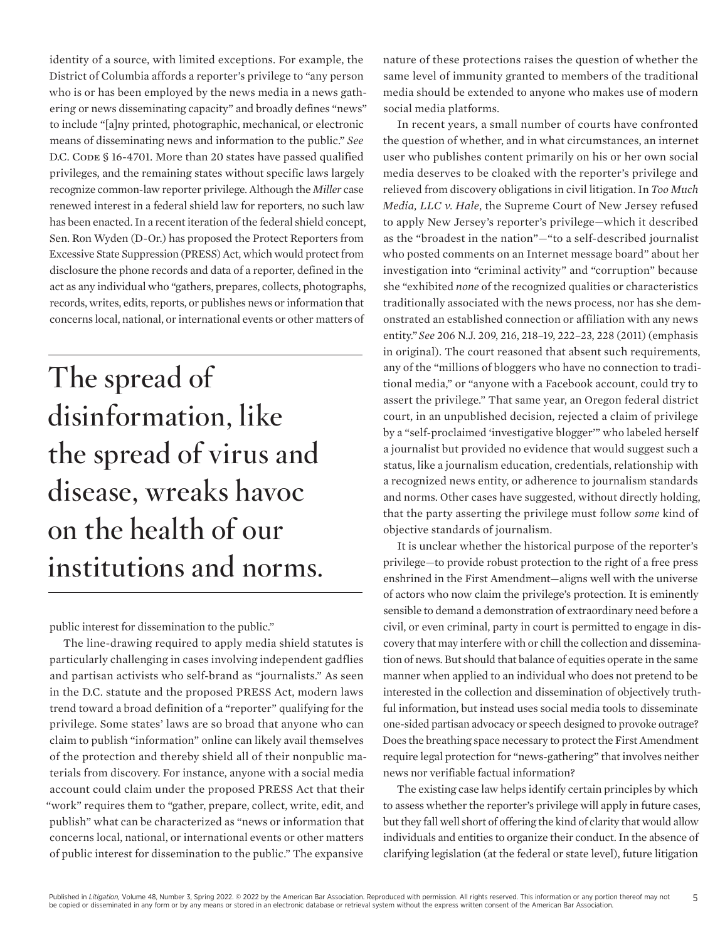identity of a source, with limited exceptions. For example, the District of Columbia affords a reporter's privilege to "any person who is or has been employed by the news media in a news gathering or news disseminating capacity" and broadly defines "news" to include "[a]ny printed, photographic, mechanical, or electronic means of disseminating news and information to the public." *See*  D.C. CODE § 16-4701. More than 20 states have passed qualified privileges, and the remaining states without specific laws largely recognize common-law reporter privilege. Although the *Miller* case renewed interest in a federal shield law for reporters, no such law has been enacted. In a recent iteration of the federal shield concept, Sen. Ron Wyden (D-Or.) has proposed the Protect Reporters from Excessive State Suppression (PRESS) Act, which would protect from disclosure the phone records and data of a reporter, defined in the act as any individual who "gathers, prepares, collects, photographs, records, writes, edits, reports, or publishes news or information that concerns local, national, or international events or other matters of

## **The spread of disinformation, like the spread of virus and disease, wreaks havoc on the health of our institutions and norms.**

public interest for dissemination to the public."

The line-drawing required to apply media shield statutes is particularly challenging in cases involving independent gadflies and partisan activists who self-brand as "journalists." As seen in the D.C. statute and the proposed PRESS Act, modern laws trend toward a broad definition of a "reporter" qualifying for the privilege. Some states' laws are so broad that anyone who can claim to publish "information" online can likely avail themselves of the protection and thereby shield all of their nonpublic materials from discovery. For instance, anyone with a social media account could claim under the proposed PRESS Act that their "work" requires them to "gather, prepare, collect, write, edit, and publish" what can be characterized as "news or information that concerns local, national, or international events or other matters of public interest for dissemination to the public." The expansive

nature of these protections raises the question of whether the same level of immunity granted to members of the traditional media should be extended to anyone who makes use of modern social media platforms.

In recent years, a small number of courts have confronted the question of whether, and in what circumstances, an internet user who publishes content primarily on his or her own social media deserves to be cloaked with the reporter's privilege and relieved from discovery obligations in civil litigation. In *Too Much Media, LLC v. Hale*, the Supreme Court of New Jersey refused to apply New Jersey's reporter's privilege—which it described as the "broadest in the nation"—"to a self-described journalist who posted comments on an Internet message board" about her investigation into "criminal activity" and "corruption" because she "exhibited *none* of the recognized qualities or characteristics traditionally associated with the news process, nor has she demonstrated an established connection or affiliation with any news entity."*See* 206 N.J. 209, 216, 218–19, 222–23, 228 (2011) (emphasis in original). The court reasoned that absent such requirements, any of the "millions of bloggers who have no connection to traditional media," or "anyone with a Facebook account, could try to assert the privilege." That same year, an Oregon federal district court, in an unpublished decision, rejected a claim of privilege by a "self-proclaimed 'investigative blogger'" who labeled herself a journalist but provided no evidence that would suggest such a status, like a journalism education, credentials, relationship with a recognized news entity, or adherence to journalism standards and norms. Other cases have suggested, without directly holding, that the party asserting the privilege must follow *some* kind of objective standards of journalism.

It is unclear whether the historical purpose of the reporter's privilege—to provide robust protection to the right of a free press enshrined in the First Amendment—aligns well with the universe of actors who now claim the privilege's protection. It is eminently sensible to demand a demonstration of extraordinary need before a civil, or even criminal, party in court is permitted to engage in discovery that may interfere with or chill the collection and dissemination of news. But should that balance of equities operate in the same manner when applied to an individual who does not pretend to be interested in the collection and dissemination of objectively truthful information, but instead uses social media tools to disseminate one-sided partisan advocacy or speech designed to provoke outrage? Does the breathing space necessary to protect the First Amendment require legal protection for "news-gathering" that involves neither news nor verifiable factual information?

The existing case law helps identify certain principles by which to assess whether the reporter's privilege will apply in future cases, but they fall well short of offering the kind of clarity that would allow individuals and entities to organize their conduct. In the absence of clarifying legislation (at the federal or state level), future litigation